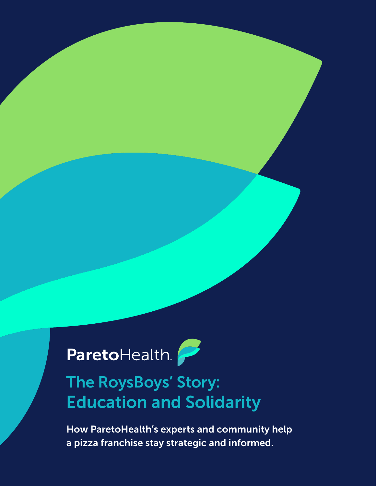## ParetoHealth.

## The RoysBoys' Story: Education and Solidarity

How ParetoHealth's experts and community help a pizza franchise stay strategic and informed.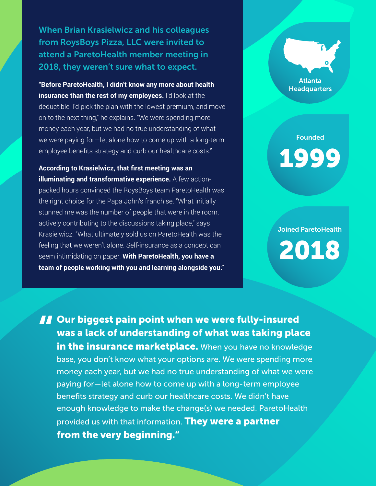When Brian Krasielwicz and his colleagues from RoysBoys Pizza, LLC were invited to attend a ParetoHealth member meeting in 2018, they weren't sure what to expect.

**"Before ParetoHealth, I didn't know any more about health insurance than the rest of my employees.** I'd look at the deductible, I'd pick the plan with the lowest premium, and move on to the next thing," he explains. "We were spending more money each year, but we had no true understanding of what we were paying for—let alone how to come up with a long-term employee benefits strategy and curb our healthcare costs."

**According to Krasielwicz, that first meeting was an illuminating and transformative experience.** A few actionpacked hours convinced the RoysBoys team ParetoHealth was the right choice for the Papa John's franchise. "What initially stunned me was the number of people that were in the room, actively contributing to the discussions taking place," says Krasielwicz. "What ultimately sold us on ParetoHealth was the feeling that we weren't alone. Self-insurance as a concept can seem intimidating on paper. **With ParetoHealth, you have a team of people working with you and learning alongside you."**

Atlanta **Headquarters** 

**Founded** 1999

Joined ParetoHealth 2018

**10 Our biggest pain point when we were fully-insured<br>was a lack of understanding of what was taking place<br>in the insurance marketplace.** When you have no knowled was a lack of understanding of what was taking place in the insurance marketplace. When you have no knowledge base, you don't know what your options are. We were spending more money each year, but we had no true understanding of what we were paying for—let alone how to come up with a long-term employee benefits strategy and curb our healthcare costs. We didn't have enough knowledge to make the change(s) we needed. ParetoHealth provided us with that information. They were a partner from the very beginning."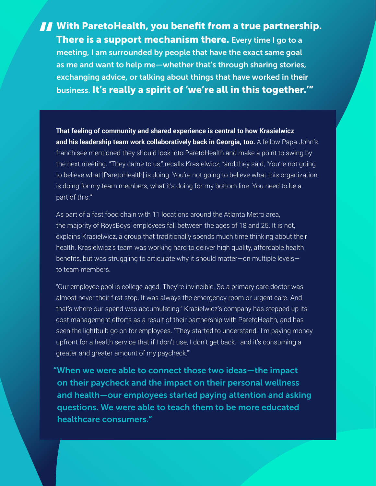**There is a support mechanism there.** Every time I go to a meeting, I am surrounded by people that have the exact same goal **There is a support mechanism there.** Every time I go to a meeting, I am surrounded by people that have the exact same goal as me and want to help me—whether that's through sharing stories, exchanging advice, or talking about things that have worked in their business. It's really a spirit of 'we're all in this together.'"

**That feeling of community and shared experience is central to how Krasielwicz and his leadership team work collaboratively back in Georgia, too.** A fellow Papa John's franchisee mentioned they should look into ParetoHealth and make a point to swing by the next meeting. "They came to us," recalls Krasielwicz, "and they said, 'You're not going to believe what [ParetoHealth] is doing. You're not going to believe what this organization is doing for my team members, what it's doing for my bottom line. You need to be a part of this.'"

As part of a fast food chain with 11 locations around the Atlanta Metro area, the majority of RoysBoys' employees fall between the ages of 18 and 25. It is not, explains Krasielwicz, a group that traditionally spends much time thinking about their health. Krasielwicz's team was working hard to deliver high quality, affordable health benefits, but was struggling to articulate why it should matter—on multiple levels to team members.

"Our employee pool is college-aged. They're invincible. So a primary care doctor was almost never their first stop. It was always the emergency room or urgent care. And that's where our spend was accumulating." Krasielwicz's company has stepped up its cost management efforts as a result of their partnership with ParetoHealth, and has seen the lightbulb go on for employees. "They started to understand: 'I'm paying money upfront for a health service that if I don't use, I don't get back—and it's consuming a greater and greater amount of my paycheck.'"

"When we were able to connect those two ideas—the impact on their paycheck and the impact on their personal wellness and health—our employees started paying attention and asking questions. We were able to teach them to be more educated healthcare consumers."